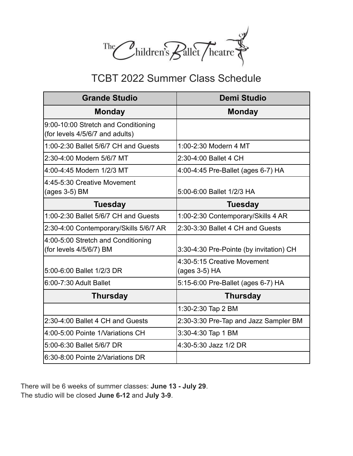

# TCBT 2022 Summer Class Schedule

| <b>Grande Studio</b>                                                   | <b>Demi Studio</b>                           |
|------------------------------------------------------------------------|----------------------------------------------|
| <b>Monday</b>                                                          | <b>Monday</b>                                |
| 9:00-10:00 Stretch and Conditioning<br>(for levels 4/5/6/7 and adults) |                                              |
| 1:00-2:30 Ballet 5/6/7 CH and Guests                                   | 1:00-2:30 Modern 4 MT                        |
| 2:30-4:00 Modern 5/6/7 MT                                              | 2:30-4:00 Ballet 4 CH                        |
| 4:00-4:45 Modern 1/2/3 MT                                              | 4:00-4:45 Pre-Ballet (ages 6-7) HA           |
| 4:45-5:30 Creative Movement<br>(ages 3-5) BM                           | 5:00-6:00 Ballet 1/2/3 HA                    |
| <b>Tuesday</b>                                                         | <b>Tuesday</b>                               |
| 1:00-2:30 Ballet 5/6/7 CH and Guests                                   | 1:00-2:30 Contemporary/Skills 4 AR           |
| 2:30-4:00 Contemporary/Skills 5/6/7 AR                                 | 2:30-3:30 Ballet 4 CH and Guests             |
| 4:00-5:00 Stretch and Conditioning<br>(for levels 4/5/6/7) BM          | 3:30-4:30 Pre-Pointe (by invitation) CH      |
| 5.00-6.00 Ballet 1/2/3 DR                                              | 4:30-5:15 Creative Movement<br>(ages 3-5) HA |
| 6:00-7:30 Adult Ballet                                                 | 5:15-6:00 Pre-Ballet (ages 6-7) HA           |
| <b>Thursday</b>                                                        | <b>Thursday</b>                              |
|                                                                        | 1:30-2:30 Tap 2 BM                           |
| 2:30-4:00 Ballet 4 CH and Guests                                       | 2:30-3:30 Pre-Tap and Jazz Sampler BM        |
| 4:00-5:00 Pointe 1/Variations CH                                       | 3:30-4:30 Tap 1 BM                           |
| 5.00-6.30 Ballet 5/6/7 DR                                              | 4:30-5:30 Jazz 1/2 DR                        |
| 6:30-8:00 Pointe 2/Variations DR                                       |                                              |

There will be 6 weeks of summer classes: **June 13 - July 29**. The studio will be closed **June 6-12** and **July 3-9**.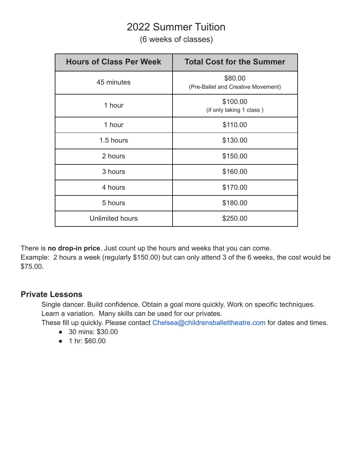### 2022 Summer Tuition

(6 weeks of classes)

| <b>Hours of Class Per Week</b> | <b>Total Cost for the Summer</b>              |
|--------------------------------|-----------------------------------------------|
| 45 minutes                     | \$80.00<br>(Pre-Ballet and Creative Movement) |
| 1 hour                         | \$100.00<br>(if only taking 1 class)          |
| 1 hour                         | \$110.00                                      |
| 1.5 hours                      | \$130.00                                      |
| 2 hours                        | \$150.00                                      |
| 3 hours                        | \$160.00                                      |
| 4 hours                        | \$170.00                                      |
| 5 hours                        | \$180.00                                      |
| <b>Unlimited hours</b>         | \$250.00                                      |

There is **no drop-in price**. Just count up the hours and weeks that you can come.

Example: 2 hours a week (regularly \$150.00) but can only attend 3 of the 6 weeks, the cost would be \$75.00.

#### **Private Lessons**

Single dancer. Build confidence. Obtain a goal more quickly. Work on specific techniques. Learn a variation. Many skills can be used for our privates.

These fill up quickly. Please contact Chelsea@childrensballettheatre.com for dates and times.

- 30 mins: \$30.00
- 1 hr: \$60.00